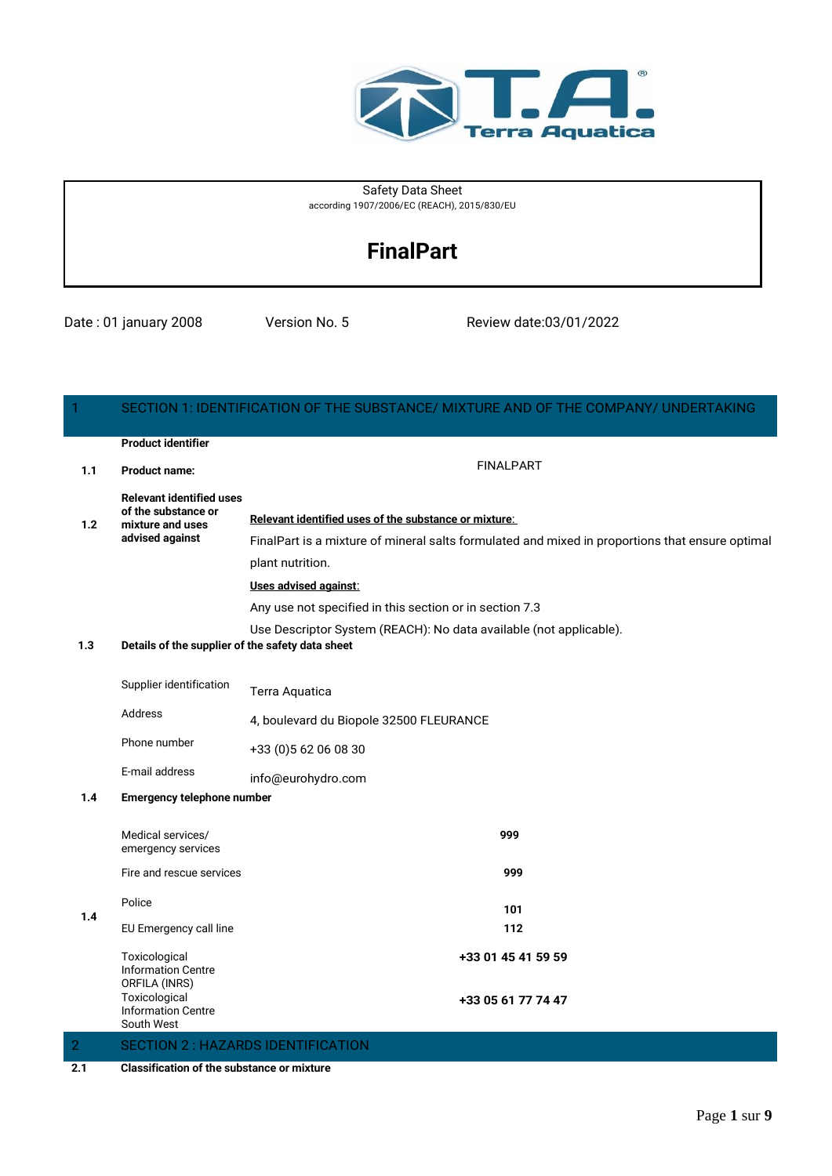

#### Safety Data Sheet according 1907/2006/EC (REACH), 2015/830/EU

# **FinalPart**

Date : 01 january 2008 Version No. 5 Review date:03/01/2022

| 1              |                                                  | SECTION 1: IDENTIFICATION OF THE SUBSTANCE/ MIXTURE AND OF THE COMPANY/ UNDERTAKING             |
|----------------|--------------------------------------------------|-------------------------------------------------------------------------------------------------|
|                | <b>Product identifier</b>                        |                                                                                                 |
| 1.1            | <b>Product name:</b>                             | <b>FINALPART</b>                                                                                |
|                | <b>Relevant identified uses</b>                  |                                                                                                 |
| 1.2            | of the substance or<br>mixture and uses          | Relevant identified uses of the substance or mixture:                                           |
|                | advised against                                  | FinalPart is a mixture of mineral salts formulated and mixed in proportions that ensure optimal |
|                |                                                  | plant nutrition.                                                                                |
|                |                                                  | Uses advised against:                                                                           |
|                |                                                  | Any use not specified in this section or in section 7.3                                         |
|                |                                                  | Use Descriptor System (REACH): No data available (not applicable).                              |
| 1.3            | Details of the supplier of the safety data sheet |                                                                                                 |
|                |                                                  |                                                                                                 |
|                | Supplier identification                          | Terra Aquatica                                                                                  |
|                | Address                                          | 4, boulevard du Biopole 32500 FLEURANCE                                                         |
|                | Phone number                                     | +33 (0) 5 62 06 08 30                                                                           |
|                | E-mail address                                   | info@eurohydro.com                                                                              |
| 1.4            | <b>Emergency telephone number</b>                |                                                                                                 |
|                |                                                  |                                                                                                 |
|                | Medical services/<br>emergency services          | 999                                                                                             |
|                | Fire and rescue services                         | 999                                                                                             |
|                |                                                  |                                                                                                 |
| 1.4            | Police                                           | 101                                                                                             |
|                | EU Emergency call line                           | 112                                                                                             |
|                | Toxicological                                    | +33 01 45 41 59 59                                                                              |
|                | <b>Information Centre</b><br>ORFILA (INRS)       |                                                                                                 |
|                | Toxicological                                    | +33 05 61 77 74 47                                                                              |
|                | <b>Information Centre</b><br>South West          |                                                                                                 |
| $\overline{2}$ |                                                  | <b>SECTION 2: HAZARDS IDENTIFICATION</b>                                                        |
| າາ             | Closeification of the oubetance or mixture       |                                                                                                 |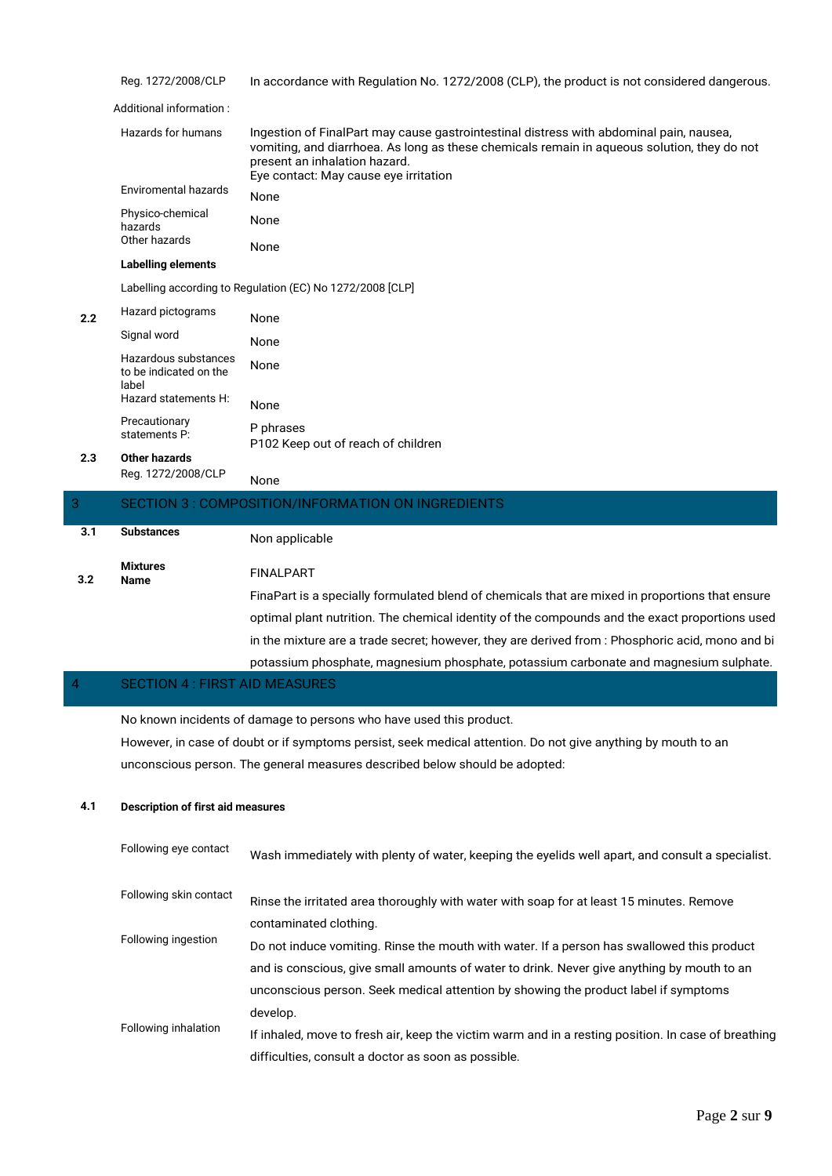|     | Reg. 1272/2008/CLP                                      | In accordance with Regulation No. 1272/2008 (CLP), the product is not considered dangerous.                                                                                                                                                                      |
|-----|---------------------------------------------------------|------------------------------------------------------------------------------------------------------------------------------------------------------------------------------------------------------------------------------------------------------------------|
|     | Additional information:                                 |                                                                                                                                                                                                                                                                  |
|     | Hazards for humans                                      | Ingestion of FinalPart may cause gastrointestinal distress with abdominal pain, nausea,<br>vomiting, and diarrhoea. As long as these chemicals remain in aqueous solution, they do not<br>present an inhalation hazard.<br>Eye contact: May cause eye irritation |
|     | <b>Enviromental hazards</b>                             | None                                                                                                                                                                                                                                                             |
|     | Physico-chemical<br>hazards                             | None                                                                                                                                                                                                                                                             |
|     | Other hazards                                           | None                                                                                                                                                                                                                                                             |
|     | <b>Labelling elements</b>                               |                                                                                                                                                                                                                                                                  |
|     |                                                         | Labelling according to Regulation (EC) No 1272/2008 [CLP]                                                                                                                                                                                                        |
| 2.2 | Hazard pictograms                                       | None                                                                                                                                                                                                                                                             |
|     | Signal word                                             | None                                                                                                                                                                                                                                                             |
|     | Hazardous substances<br>to be indicated on the<br>label | None                                                                                                                                                                                                                                                             |
|     | Hazard statements H:                                    | None                                                                                                                                                                                                                                                             |
|     | Precautionary<br>statements P:                          | P phrases<br>P102 Keep out of reach of children                                                                                                                                                                                                                  |
| 2.3 | Other hazards                                           |                                                                                                                                                                                                                                                                  |
|     | Reg. 1272/2008/CLP                                      | None                                                                                                                                                                                                                                                             |
| 3   |                                                         | SECTION 3 : COMPOSITION/INFORMATION ON INGREDIENTS                                                                                                                                                                                                               |
| 3.1 | <b>Substances</b>                                       | Non applicable                                                                                                                                                                                                                                                   |
|     | <b>Mixtures</b>                                         | <b>FINALPART</b>                                                                                                                                                                                                                                                 |
| 3.2 | <b>Name</b>                                             |                                                                                                                                                                                                                                                                  |
|     |                                                         | FinaPart is a specially formulated blend of chemicals that are mixed in proportions that ensure                                                                                                                                                                  |
|     |                                                         | optimal plant nutrition. The chemical identity of the compounds and the exact proportions used                                                                                                                                                                   |
|     |                                                         | in the mixture are a trade secret; however, they are derived from : Phosphoric acid, mono and bi                                                                                                                                                                 |
|     |                                                         | potassium phosphate, magnesium phosphate, potassium carbonate and magnesium sulphate.                                                                                                                                                                            |
| 4   | <b>SECTION 4 : FIRST AID MEASURES</b>                   |                                                                                                                                                                                                                                                                  |
|     |                                                         |                                                                                                                                                                                                                                                                  |

No known incidents of damage to persons who have used this product.

However, in case of doubt or if symptoms persist, seek medical attention. Do not give anything by mouth to an unconscious person. The general measures described below should be adopted:

#### **4.1 Description of first aid measures**

| Following eye contact  | Wash immediately with plenty of water, keeping the eyelids well apart, and consult a specialist.    |
|------------------------|-----------------------------------------------------------------------------------------------------|
| Following skin contact | Rinse the irritated area thoroughly with water with soap for at least 15 minutes. Remove            |
|                        | contaminated clothing.                                                                              |
| Following ingestion    | Do not induce vomiting. Rinse the mouth with water. If a person has swallowed this product          |
|                        | and is conscious, give small amounts of water to drink. Never give anything by mouth to an          |
|                        | unconscious person. Seek medical attention by showing the product label if symptoms                 |
|                        | develop.                                                                                            |
| Following inhalation   | If inhaled, move to fresh air, keep the victim warm and in a resting position. In case of breathing |
|                        | difficulties, consult a doctor as soon as possible.                                                 |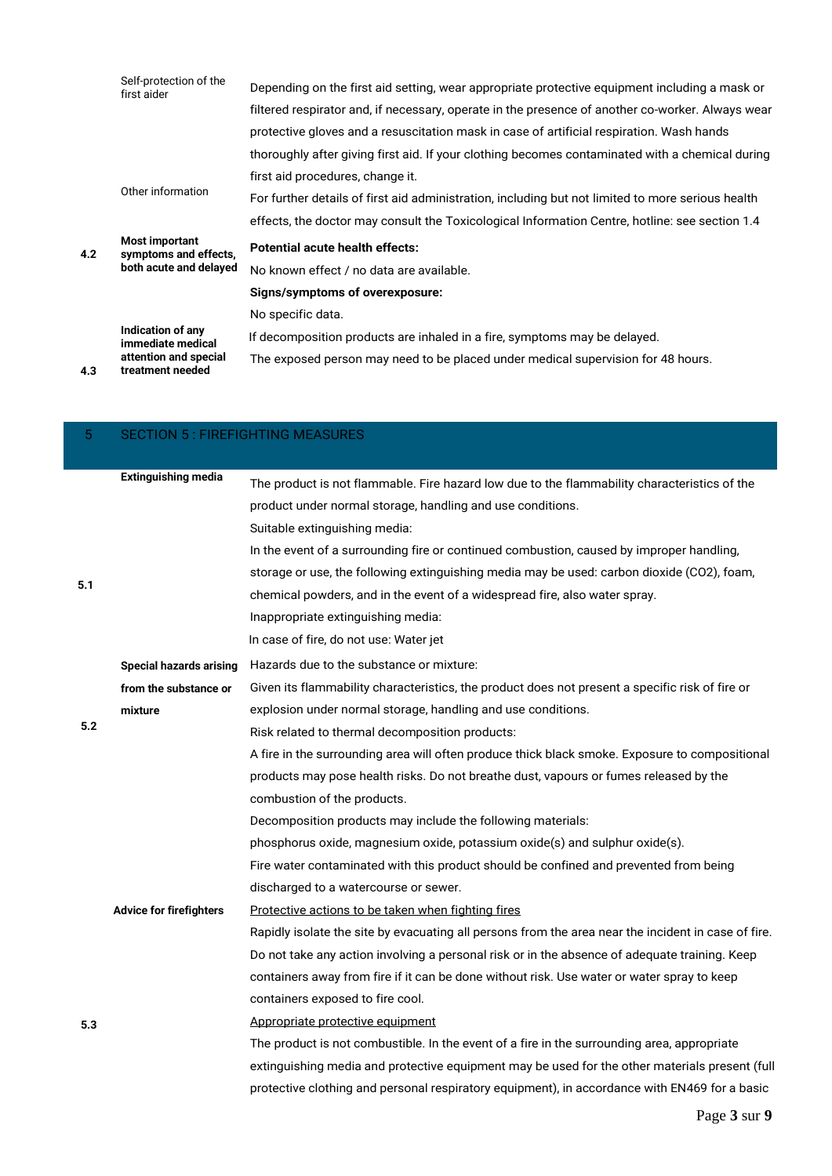|     | Self-protection of the<br>first aider          | Depending on the first aid setting, wear appropriate protective equipment including a mask or     |
|-----|------------------------------------------------|---------------------------------------------------------------------------------------------------|
|     |                                                | filtered respirator and, if necessary, operate in the presence of another co-worker. Always wear  |
|     |                                                | protective gloves and a resuscitation mask in case of artificial respiration. Wash hands          |
|     |                                                | thoroughly after giving first aid. If your clothing becomes contaminated with a chemical during   |
|     |                                                | first aid procedures, change it.                                                                  |
|     | Other information                              | For further details of first aid administration, including but not limited to more serious health |
|     |                                                | effects, the doctor may consult the Toxicological Information Centre, hotline: see section 1.4    |
|     |                                                |                                                                                                   |
| 4.2 | <b>Most important</b><br>symptoms and effects, | <b>Potential acute health effects:</b>                                                            |
|     | both acute and delayed                         | No known effect / no data are available.                                                          |
|     |                                                | Signs/symptoms of overexposure:                                                                   |
|     |                                                | No specific data.                                                                                 |
|     | Indication of any<br>immediate medical         | If decomposition products are inhaled in a fire, symptoms may be delayed.                         |

| 5   | <b>SECTION 5: FIREFIGHTING MEASURES</b> |                                                                                                     |
|-----|-----------------------------------------|-----------------------------------------------------------------------------------------------------|
|     | <b>Extinguishing media</b>              |                                                                                                     |
|     |                                         | The product is not flammable. Fire hazard low due to the flammability characteristics of the        |
|     |                                         | product under normal storage, handling and use conditions.                                          |
|     |                                         | Suitable extinguishing media:                                                                       |
|     |                                         | In the event of a surrounding fire or continued combustion, caused by improper handling,            |
| 5.1 |                                         | storage or use, the following extinguishing media may be used: carbon dioxide (CO2), foam,          |
|     |                                         | chemical powders, and in the event of a widespread fire, also water spray.                          |
|     |                                         | Inappropriate extinguishing media:                                                                  |
|     |                                         | In case of fire, do not use: Water jet                                                              |
|     | <b>Special hazards arising</b>          | Hazards due to the substance or mixture:                                                            |
|     | from the substance or                   | Given its flammability characteristics, the product does not present a specific risk of fire or     |
|     | mixture                                 | explosion under normal storage, handling and use conditions.                                        |
| 5.2 |                                         | Risk related to thermal decomposition products:                                                     |
|     |                                         | A fire in the surrounding area will often produce thick black smoke. Exposure to compositional      |
|     |                                         | products may pose health risks. Do not breathe dust, vapours or fumes released by the               |
|     |                                         | combustion of the products.                                                                         |
|     |                                         | Decomposition products may include the following materials:                                         |
|     |                                         | phosphorus oxide, magnesium oxide, potassium oxide(s) and sulphur oxide(s).                         |
|     |                                         | Fire water contaminated with this product should be confined and prevented from being               |
|     |                                         | discharged to a watercourse or sewer.                                                               |
|     | <b>Advice for firefighters</b>          | Protective actions to be taken when fighting fires                                                  |
|     |                                         | Rapidly isolate the site by evacuating all persons from the area near the incident in case of fire. |
|     |                                         | Do not take any action involving a personal risk or in the absence of adequate training. Keep       |
|     |                                         | containers away from fire if it can be done without risk. Use water or water spray to keep          |
|     |                                         | containers exposed to fire cool.                                                                    |
| 5.3 |                                         | Appropriate protective equipment                                                                    |
|     |                                         | The product is not combustible. In the event of a fire in the surrounding area, appropriate         |
|     |                                         | extinguishing media and protective equipment may be used for the other materials present (full      |
|     |                                         | protective clothing and personal respiratory equipment), in accordance with EN469 for a basic       |
|     |                                         |                                                                                                     |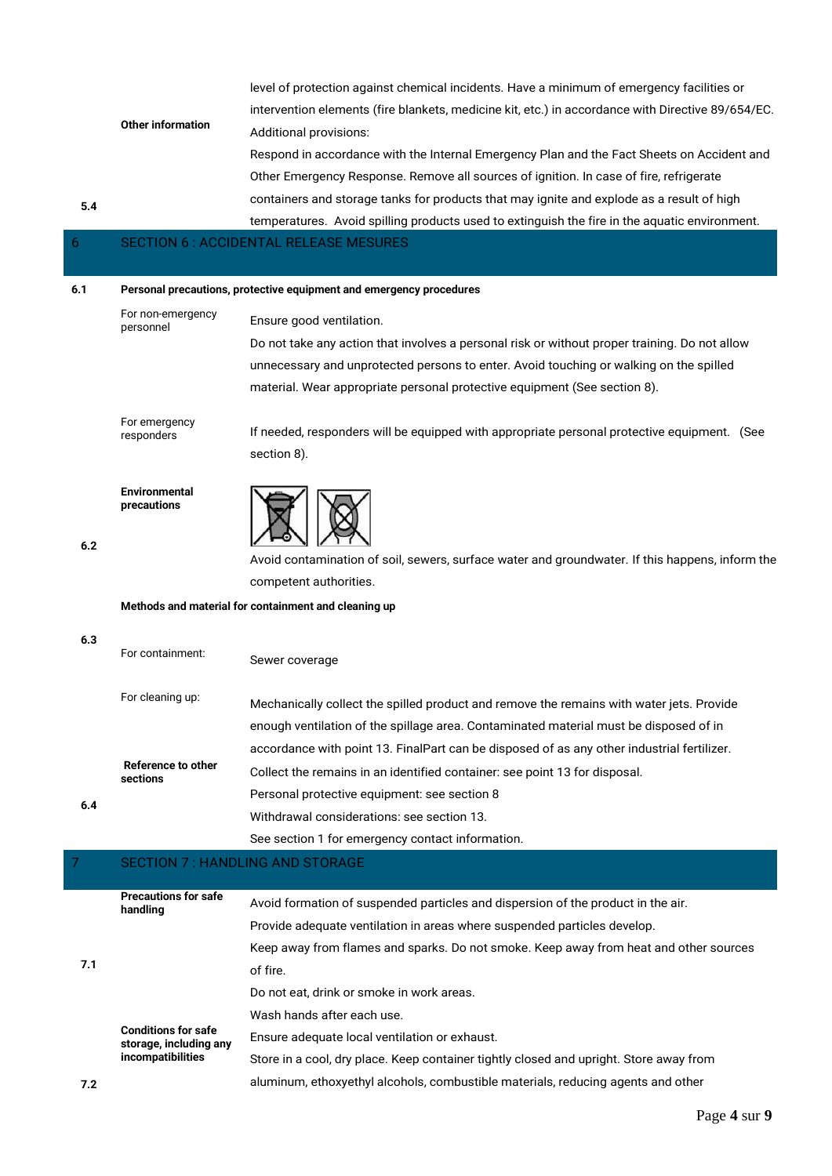|     |                                         | level of protection against chemical incidents. Have a minimum of emergency facilities or         |
|-----|-----------------------------------------|---------------------------------------------------------------------------------------------------|
|     |                                         | intervention elements (fire blankets, medicine kit, etc.) in accordance with Directive 89/654/EC. |
|     | <b>Other information</b>                | Additional provisions:                                                                            |
|     |                                         | Respond in accordance with the Internal Emergency Plan and the Fact Sheets on Accident and        |
|     |                                         | Other Emergency Response. Remove all sources of ignition. In case of fire, refrigerate            |
|     |                                         | containers and storage tanks for products that may ignite and explode as a result of high         |
| 5.4 |                                         | temperatures. Avoid spilling products used to extinguish the fire in the aquatic environment.     |
| 6.  |                                         | <b>SECTION 6: ACCIDENTAL RELEASE MESURES</b>                                                      |
|     |                                         |                                                                                                   |
| 6.1 |                                         | Personal precautions, protective equipment and emergency procedures                               |
|     | For non-emergency<br>personnel          | Ensure good ventilation.                                                                          |
|     |                                         | Do not take any action that involves a personal risk or without proper training. Do not allow     |
|     |                                         | unnecessary and unprotected persons to enter. Avoid touching or walking on the spilled            |
|     |                                         | material. Wear appropriate personal protective equipment (See section 8).                         |
|     |                                         |                                                                                                   |
|     | For emergency<br>responders             | If needed, responders will be equipped with appropriate personal protective equipment. (See       |
|     |                                         | section 8).                                                                                       |
| 6.2 | Environmental<br>precautions            |                                                                                                   |
|     |                                         | Avoid contamination of soil, sewers, surface water and groundwater. If this happens, inform the   |
|     |                                         | competent authorities.                                                                            |
|     |                                         | Methods and material for containment and cleaning up                                              |
|     |                                         |                                                                                                   |
| 6.3 | For containment:                        | Sewer coverage                                                                                    |
|     | For cleaning up:                        | Mechanically collect the spilled product and remove the remains with water jets. Provide          |
|     |                                         | enough ventilation of the spillage area. Contaminated material must be disposed of in             |
|     |                                         | accordance with point 13. FinalPart can be disposed of as any other industrial fertilizer.        |
|     | Reference to other                      | Collect the remains in an identified container: see point 13 for disposal.                        |
|     | sections                                | Personal protective equipment: see section 8                                                      |
| 6.4 |                                         | Withdrawal considerations: see section 13.                                                        |
|     |                                         |                                                                                                   |
|     |                                         | See section 1 for emergency contact information.                                                  |
| 7   | <b>SECTION 7: HANDLING AND STORAGE</b>  |                                                                                                   |
|     | <b>Precautions for safe</b><br>handling | Avoid formation of suspended particles and dispersion of the product in the air.                  |

T

|     | handling                                                                  | AVOID TOTHQUOTI OF SUSPENDED PULLIOLES UND UISPETSION OF THE PRODUCT IN THE UIT.       |
|-----|---------------------------------------------------------------------------|----------------------------------------------------------------------------------------|
|     |                                                                           | Provide adequate ventilation in areas where suspended particles develop.               |
|     |                                                                           | Keep away from flames and sparks. Do not smoke. Keep away from heat and other sources  |
| 7.1 |                                                                           | of fire.                                                                               |
|     | <b>Conditions for safe</b><br>storage, including any<br>incompatibilities | Do not eat, drink or smoke in work areas.                                              |
|     |                                                                           | Wash hands after each use.                                                             |
|     |                                                                           | Ensure adequate local ventilation or exhaust.                                          |
|     |                                                                           | Store in a cool, dry place. Keep container tightly closed and upright. Store away from |
| 7.2 |                                                                           | aluminum, ethoxyethyl alcohols, combustible materials, reducing agents and other       |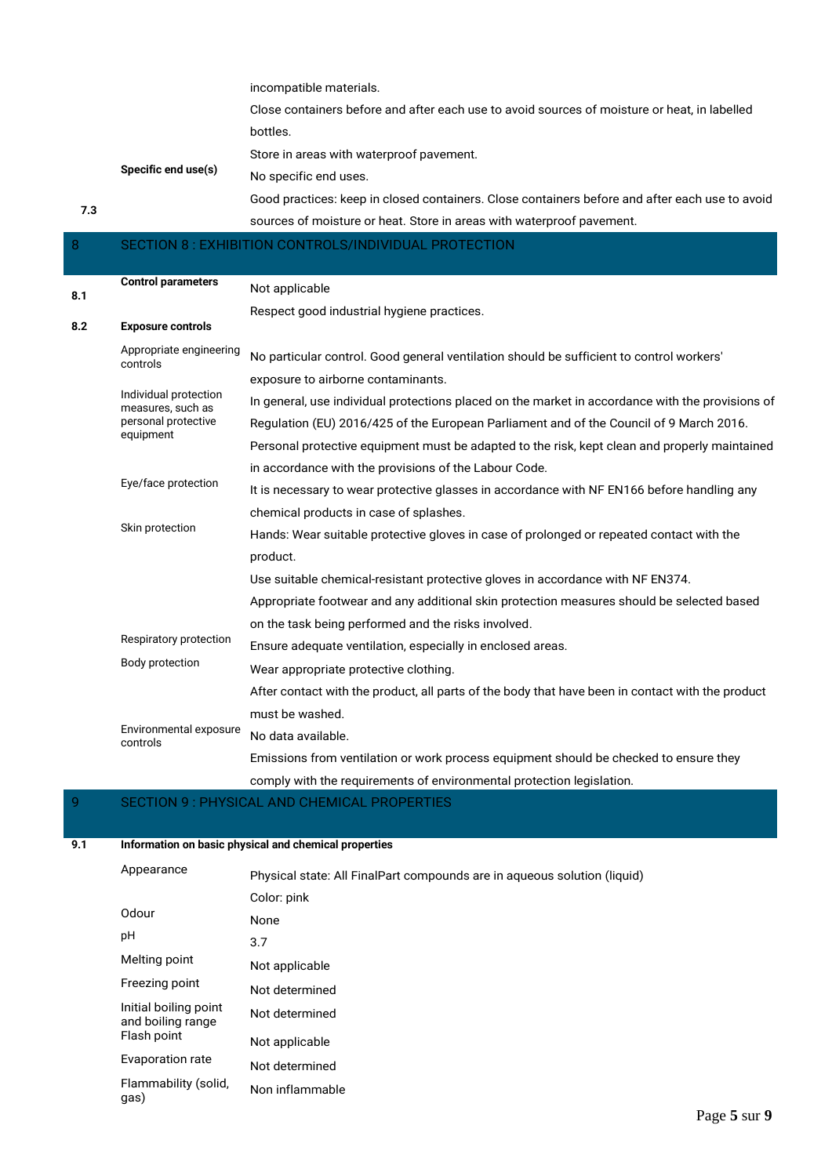incompatible materials.

Close containers before and after each use to avoid sources of moisture or heat, in labelled bottles.

Store in areas with waterproof pavement.

**Specific end use(s)** No specific end uses.

Good practices: keep in closed containers. Close containers before and after each use to avoid sources of moisture or heat. Store in areas with waterproof pavement.

## 8 SECTION 8 : EXHIBITION CONTROLS/INDIVIDUAL PROTECTION

| 8.1 | <b>Control parameters</b>                  | Not applicable                                                                                   |
|-----|--------------------------------------------|--------------------------------------------------------------------------------------------------|
|     |                                            | Respect good industrial hygiene practices.                                                       |
| 8.2 | <b>Exposure controls</b>                   |                                                                                                  |
|     | Appropriate engineering<br>controls        | No particular control. Good general ventilation should be sufficient to control workers'         |
|     |                                            | exposure to airborne contaminants.                                                               |
|     | Individual protection<br>measures, such as | In general, use individual protections placed on the market in accordance with the provisions of |
|     | personal protective<br>equipment           | Regulation (EU) 2016/425 of the European Parliament and of the Council of 9 March 2016.          |
|     |                                            | Personal protective equipment must be adapted to the risk, kept clean and properly maintained    |
|     |                                            | in accordance with the provisions of the Labour Code.                                            |
|     | Eye/face protection                        | It is necessary to wear protective glasses in accordance with NF EN166 before handling any       |
|     |                                            | chemical products in case of splashes.                                                           |
|     | Skin protection                            | Hands: Wear suitable protective gloves in case of prolonged or repeated contact with the         |
|     |                                            | product.                                                                                         |
|     |                                            | Use suitable chemical-resistant protective gloves in accordance with NF EN374.                   |
|     |                                            | Appropriate footwear and any additional skin protection measures should be selected based        |
|     |                                            | on the task being performed and the risks involved.                                              |
|     | Respiratory protection                     | Ensure adequate ventilation, especially in enclosed areas.                                       |
|     | Body protection                            | Wear appropriate protective clothing.                                                            |
|     |                                            | After contact with the product, all parts of the body that have been in contact with the product |
|     |                                            | must be washed.                                                                                  |
|     | Environmental exposure<br>controls         | No data available.                                                                               |
|     |                                            | Emissions from ventilation or work process equipment should be checked to ensure they            |
|     |                                            | comply with the requirements of environmental protection legislation.                            |

## 9 SECTION 9 : PHYSICAL AND CHEMICAL PROPERTIES

**7.3**

**9.1 Information on basic physical and chemical properties**

| Appearance                                 | Physical state: All FinalPart compounds are in agueous solution (liquid) |
|--------------------------------------------|--------------------------------------------------------------------------|
|                                            | Color: pink                                                              |
| Odour                                      | None                                                                     |
| рH                                         | 3.7                                                                      |
| Melting point                              | Not applicable                                                           |
| Freezing point                             | Not determined                                                           |
| Initial boiling point<br>and boiling range | Not determined                                                           |
| Flash point                                | Not applicable                                                           |
| Evaporation rate                           | Not determined                                                           |
| Flammability (solid,<br>gas)               | Non inflammable                                                          |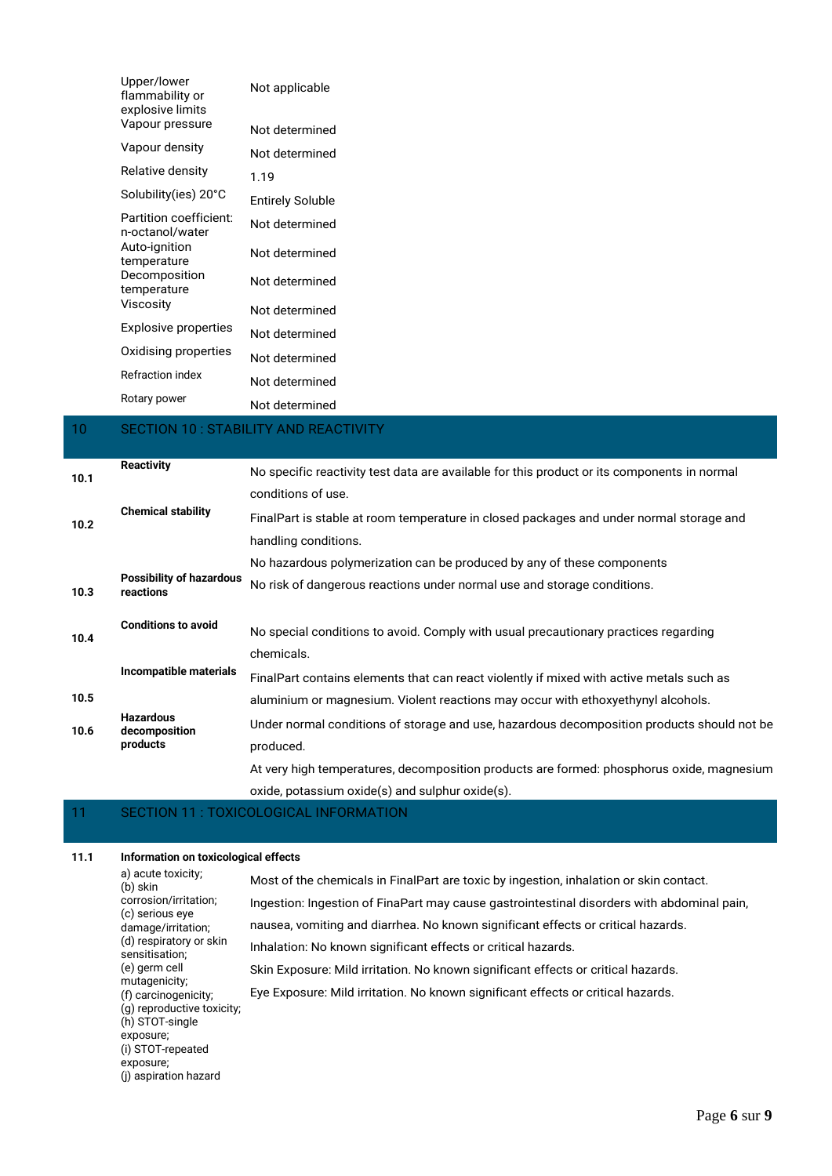|    | Upper/lower<br>flammability or<br>explosive limits | Not applicable                        |
|----|----------------------------------------------------|---------------------------------------|
|    | Vapour pressure                                    | Not determined                        |
|    | Vapour density                                     | Not determined                        |
|    | Relative density                                   | 1.19                                  |
|    | Solubility(ies) 20°C                               | <b>Entirely Soluble</b>               |
|    | Partition coefficient:<br>n-octanol/water          | Not determined                        |
|    | Auto-ignition<br>temperature                       | Not determined                        |
|    | Decomposition<br>temperature                       | Not determined                        |
|    | Viscosity                                          | Not determined                        |
|    | <b>Explosive properties</b>                        | Not determined                        |
|    | Oxidising properties                               | Not determined                        |
|    | Refraction index                                   | Not determined                        |
|    | Rotary power                                       | Not determined                        |
| 10 |                                                    | SECTION 10 : STABILITY AND REACTIVITY |

#### **10.1 Reactivity** No specific reactivity test data are available for this product or its components in normal conditions of use. **10.2 Chemical stability** FinalPart is stable at room temperature in closed packages and under normal storage and handling conditions. No hazardous polymerization can be produced by any of these components **10.3 Possibility of hazardous reactions** No risk of dangerous reactions under normal use and storage conditions. **10.4 Conditions to avoid** No special conditions to avoid. Comply with usual precautionary practices regarding chemicals. **10.5 Incompatible materials** FinalPart contains elements that can react violently if mixed with active metals such as aluminium or magnesium. Violent reactions may occur with ethoxyethynyl alcohols. **10.6 Hazardous decomposition products** Under normal conditions of storage and use, hazardous decomposition products should not be produced. At very high temperatures, decomposition products are formed: phosphorus oxide, magnesium oxide, potassium oxide(s) and sulphur oxide(s).

### 11 SECTION 11 : TOXICOLOGICAL INFORMATION

#### **11.1 Information on toxicological effects**

| a) acute toxicity;<br>(b) skin                | Most of the chemicals in FinalPart are toxic by ingestion, inhalation or skin contact.     |
|-----------------------------------------------|--------------------------------------------------------------------------------------------|
| corrosion/irritation;                         | Ingestion: Ingestion of FinaPart may cause gastrointestinal disorders with abdominal pain, |
| (c) serious eve<br>damage/irritation;         | nausea, vomiting and diarrhea. No known significant effects or critical hazards.           |
| (d) respiratory or skin<br>sensitisation;     | Inhalation: No known significant effects or critical hazards.                              |
| (e) germ cell                                 | Skin Exposure: Mild irritation. No known significant effects or critical hazards.          |
| mutagenicity;<br>(f) carcinogenicity;         | Eye Exposure: Mild irritation. No known significant effects or critical hazards.           |
| (g) reproductive toxicity;<br>(h) STOT-single |                                                                                            |
| exposure;                                     |                                                                                            |
| (i) STOT-repeated<br>exposure;                |                                                                                            |
| (i) aspiration hazard                         |                                                                                            |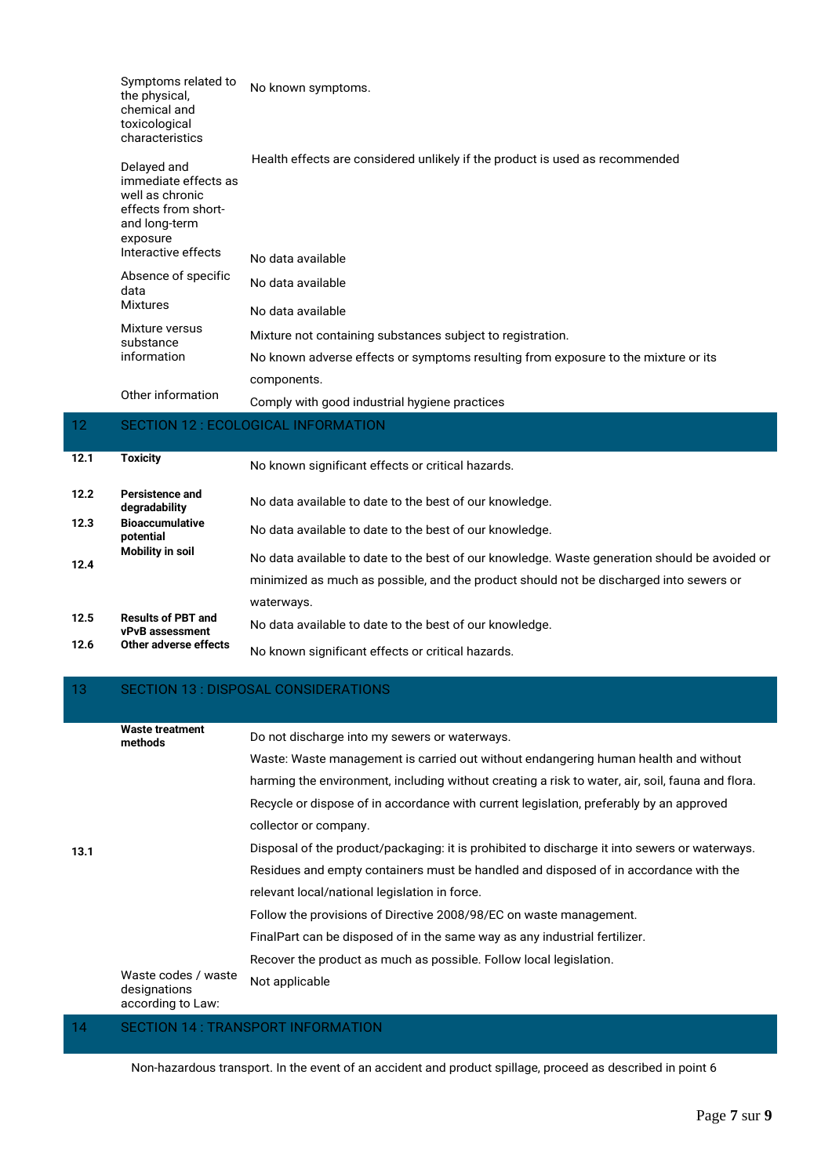| Symptoms related to<br>the physical,<br>chemical and<br>toxicological<br>characteristics                                          | No known symptoms.                                                           |
|-----------------------------------------------------------------------------------------------------------------------------------|------------------------------------------------------------------------------|
| Delayed and<br>immediate effects as<br>well as chronic<br>effects from short-<br>and long-term<br>exposure<br>Interactive effects | Health effects are considered unlikely if the product is used as recommended |
|                                                                                                                                   | No data available                                                            |

| Absence of specific<br>data | No data available                                                                  |
|-----------------------------|------------------------------------------------------------------------------------|
| Mixtures                    | No data available                                                                  |
| Mixture versus<br>substance | Mixture not containing substances subject to registration.                         |
| information                 | No known adverse effects or symptoms resulting from exposure to the mixture or its |
|                             | components.                                                                        |

Other information Comply with good industrial hygiene practices

# 12 SECTION 12 : ECOLOGICAL INFORMATION

| 12.1 | <b>Toxicity</b>                              | No known significant effects or critical hazards.                                             |
|------|----------------------------------------------|-----------------------------------------------------------------------------------------------|
| 12.2 | Persistence and<br>degradability             | No data available to date to the best of our knowledge.                                       |
| 12.3 | <b>Bioaccumulative</b><br>potential          | No data available to date to the best of our knowledge.                                       |
| 12.4 | Mobility in soil                             | No data available to date to the best of our knowledge. Waste generation should be avoided or |
|      |                                              | minimized as much as possible, and the product should not be discharged into sewers or        |
|      |                                              | waterways.                                                                                    |
| 12.5 | <b>Results of PBT and</b><br>vPvB assessment | No data available to date to the best of our knowledge.                                       |
| 12.6 | Other adverse effects                        | No known significant effects or critical hazards.                                             |

# 13 SECTION 13 : DISPOSAL CONSIDERATIONS

| 13.1 | Waste treatment<br>methods                               | Do not discharge into my sewers or waterways.                                                                                                                                                                                                                                                                                                                                                                                     |
|------|----------------------------------------------------------|-----------------------------------------------------------------------------------------------------------------------------------------------------------------------------------------------------------------------------------------------------------------------------------------------------------------------------------------------------------------------------------------------------------------------------------|
|      |                                                          | Waste: Waste management is carried out without endangering human health and without                                                                                                                                                                                                                                                                                                                                               |
|      |                                                          | harming the environment, including without creating a risk to water, air, soil, fauna and flora.                                                                                                                                                                                                                                                                                                                                  |
|      |                                                          | Recycle or dispose of in accordance with current legislation, preferably by an approved                                                                                                                                                                                                                                                                                                                                           |
|      |                                                          | collector or company.                                                                                                                                                                                                                                                                                                                                                                                                             |
|      |                                                          | Disposal of the product/packaging: it is prohibited to discharge it into sewers or waterways.                                                                                                                                                                                                                                                                                                                                     |
|      |                                                          | Residues and empty containers must be handled and disposed of in accordance with the                                                                                                                                                                                                                                                                                                                                              |
|      |                                                          | relevant local/national legislation in force.                                                                                                                                                                                                                                                                                                                                                                                     |
|      |                                                          | Follow the provisions of Directive 2008/98/EC on waste management.                                                                                                                                                                                                                                                                                                                                                                |
|      |                                                          | FinalPart can be disposed of in the same way as any industrial fertilizer.                                                                                                                                                                                                                                                                                                                                                        |
|      |                                                          | Recover the product as much as possible. Follow local legislation.                                                                                                                                                                                                                                                                                                                                                                |
|      | Waste codes / waste<br>designations<br>according to Law: | Not applicable                                                                                                                                                                                                                                                                                                                                                                                                                    |
|      |                                                          | $\overline{C}$ $\overline{C}$ $\overline{C}$ $\overline{C}$ $\overline{C}$ $\overline{C}$ $\overline{C}$ $\overline{C}$ $\overline{C}$ $\overline{C}$ $\overline{C}$ $\overline{C}$ $\overline{C}$ $\overline{C}$ $\overline{C}$ $\overline{C}$ $\overline{C}$ $\overline{C}$ $\overline{C}$ $\overline{C}$ $\overline{C}$ $\overline{C}$ $\overline{C}$ $\overline{C}$ $\overline{C}$ $\overline{C}$ $\overline{C}$ $\overline{$ |

### 10N 14 : TRANSPORT INFORMATION

Non-hazardous transport. In the event of an accident and product spillage, proceed as described in point 6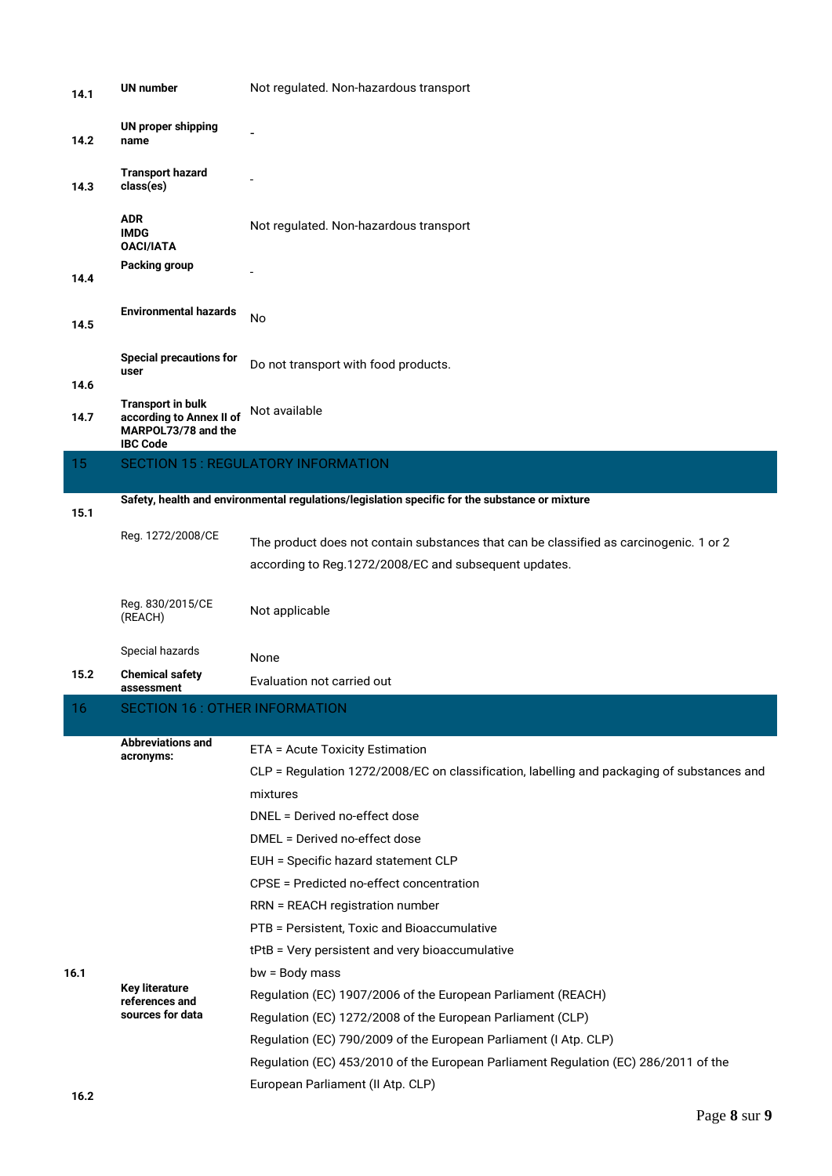| 14.1 | <b>UN number</b>                                                                               | Not regulated. Non-hazardous transport                                                                                                                                                                                                                                                                                                                                                                                                         |
|------|------------------------------------------------------------------------------------------------|------------------------------------------------------------------------------------------------------------------------------------------------------------------------------------------------------------------------------------------------------------------------------------------------------------------------------------------------------------------------------------------------------------------------------------------------|
| 14.2 | <b>UN proper shipping</b><br>name                                                              |                                                                                                                                                                                                                                                                                                                                                                                                                                                |
| 14.3 | <b>Transport hazard</b><br>class(es)                                                           |                                                                                                                                                                                                                                                                                                                                                                                                                                                |
|      | ADR.<br><b>IMDG</b><br><b>OACI/IATA</b>                                                        | Not regulated. Non-hazardous transport                                                                                                                                                                                                                                                                                                                                                                                                         |
| 14.4 | Packing group                                                                                  |                                                                                                                                                                                                                                                                                                                                                                                                                                                |
| 14.5 | <b>Environmental hazards</b>                                                                   | No                                                                                                                                                                                                                                                                                                                                                                                                                                             |
| 14.6 | <b>Special precautions for</b><br>user                                                         | Do not transport with food products.                                                                                                                                                                                                                                                                                                                                                                                                           |
| 14.7 | <b>Transport in bulk</b><br>according to Annex II of<br>MARPOL73/78 and the<br><b>IBC Code</b> | Not available                                                                                                                                                                                                                                                                                                                                                                                                                                  |
| 15   |                                                                                                | <b>SECTION 15: REGULATORY INFORMATION</b>                                                                                                                                                                                                                                                                                                                                                                                                      |
| 15.1 |                                                                                                | Safety, health and environmental regulations/legislation specific for the substance or mixture                                                                                                                                                                                                                                                                                                                                                 |
|      | Reg. 1272/2008/CE                                                                              | The product does not contain substances that can be classified as carcinogenic. 1 or 2<br>according to Reg.1272/2008/EC and subsequent updates.                                                                                                                                                                                                                                                                                                |
|      | Reg. 830/2015/CE<br>(REACH)                                                                    | Not applicable                                                                                                                                                                                                                                                                                                                                                                                                                                 |
|      | Special hazards                                                                                | None                                                                                                                                                                                                                                                                                                                                                                                                                                           |
| 15.2 | <b>Chemical safety</b><br>assessment                                                           | Evaluation not carried out                                                                                                                                                                                                                                                                                                                                                                                                                     |
| 16   | <b>SECTION 16: OTHER INFORMATION</b>                                                           |                                                                                                                                                                                                                                                                                                                                                                                                                                                |
|      | <b>Abbreviations and</b><br>acronyms:                                                          | ETA = Acute Toxicity Estimation<br>CLP = Regulation 1272/2008/EC on classification, labelling and packaging of substances and<br>mixtures<br>DNEL = Derived no-effect dose<br>DMEL = Derived no-effect dose<br>EUH = Specific hazard statement CLP<br>CPSE = Predicted no-effect concentration<br>RRN = REACH registration number                                                                                                              |
| 16.1 | <b>Key literature</b><br>references and<br>sources for data                                    | PTB = Persistent, Toxic and Bioaccumulative<br>tPtB = Very persistent and very bioaccumulative<br>bw = Body mass<br>Regulation (EC) 1907/2006 of the European Parliament (REACH)<br>Regulation (EC) 1272/2008 of the European Parliament (CLP)<br>Regulation (EC) 790/2009 of the European Parliament (I Atp. CLP)<br>Regulation (EC) 453/2010 of the European Parliament Regulation (EC) 286/2011 of the<br>European Parliament (II Atp. CLP) |